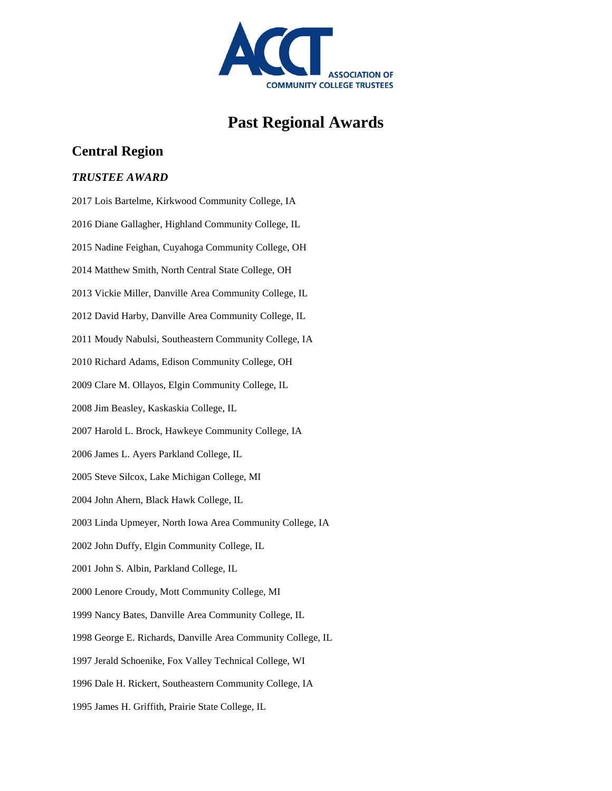

# **Past Regional Awards**

# **Central Region**

#### *TRUSTEE AWARD*

2017 Lois Bartelme, Kirkwood Community College, IA 2016 Diane Gallagher, Highland Community College, IL 2015 Nadine Feighan, Cuyahoga Community College, OH 2014 Matthew Smith, North Central State College, OH 2013 Vickie Miller, Danville Area Community College, IL 2012 David Harby, Danville Area Community College, IL 2011 Moudy Nabulsi, Southeastern Community College, IA 2010 Richard Adams, Edison Community College, OH 2009 Clare M. Ollayos, Elgin Community College, IL 2008 Jim Beasley, Kaskaskia College, IL 2007 Harold L. Brock, Hawkeye Community College, IA 2006 James L. Ayers Parkland College, IL 2005 Steve Silcox, Lake Michigan College, MI 2004 John Ahern, Black Hawk College, IL 2003 Linda Upmeyer, North Iowa Area Community College, IA 2002 John Duffy, Elgin Community College, IL 2001 John S. Albin, Parkland College, IL 2000 Lenore Croudy, Mott Community College, MI 1999 Nancy Bates, Danville Area Community College, IL 1998 George E. Richards, Danville Area Community College, IL 1997 Jerald Schoenike, Fox Valley Technical College, WI 1996 Dale H. Rickert, Southeastern Community College, IA 1995 James H. Griffith, Prairie State College, IL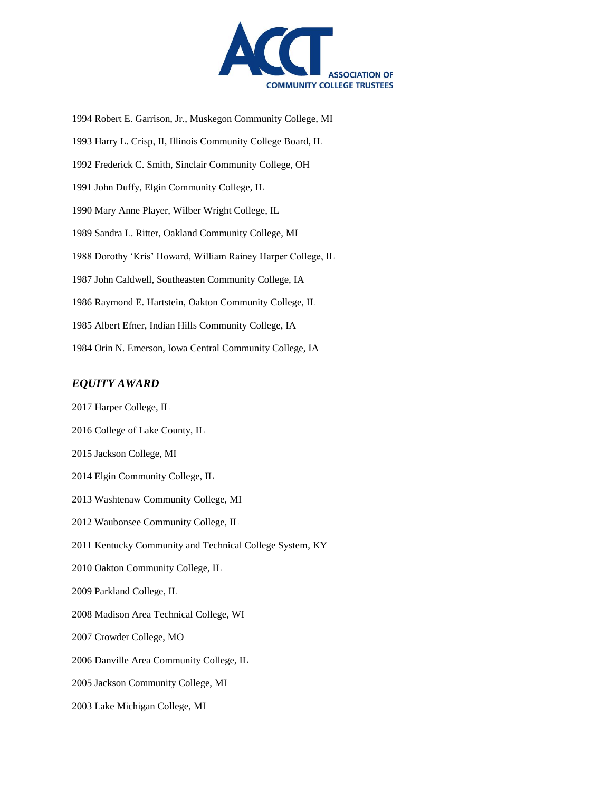

1994 Robert E. Garrison, Jr., Muskegon Community College, MI 1993 Harry L. Crisp, II, Illinois Community College Board, IL 1992 Frederick C. Smith, Sinclair Community College, OH 1991 John Duffy, Elgin Community College, IL 1990 Mary Anne Player, Wilber Wright College, IL 1989 Sandra L. Ritter, Oakland Community College, MI 1988 Dorothy 'Kris' Howard, William Rainey Harper College, IL 1987 John Caldwell, Southeasten Community College, IA 1986 Raymond E. Hartstein, Oakton Community College, IL 1985 Albert Efner, Indian Hills Community College, IA 1984 Orin N. Emerson, Iowa Central Community College, IA

### *EQUITY AWARD*

2017 Harper College, IL 2016 College of Lake County, IL 2015 Jackson College, MI 2014 Elgin Community College, IL 2013 Washtenaw Community College, MI 2012 Waubonsee Community College, IL 2011 Kentucky Community and Technical College System, KY 2010 Oakton Community College, IL 2009 Parkland College, IL 2008 Madison Area Technical College, WI 2007 Crowder College, MO 2006 Danville Area Community College, IL 2005 Jackson Community College, MI 2003 Lake Michigan College, MI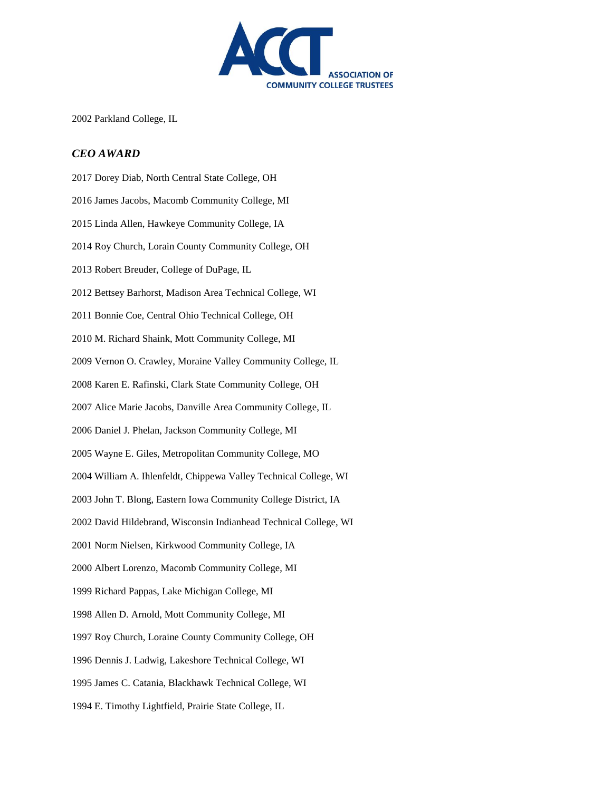

2002 Parkland College, IL

#### *CEO AWARD*

2017 Dorey Diab, North Central State College, OH 2016 James Jacobs, Macomb Community College, MI 2015 Linda Allen, Hawkeye Community College, IA 2014 Roy Church, Lorain County Community College, OH 2013 Robert Breuder, College of DuPage, IL 2012 Bettsey Barhorst, Madison Area Technical College, WI 2011 Bonnie Coe, Central Ohio Technical College, OH 2010 M. Richard Shaink, Mott Community College, MI 2009 Vernon O. Crawley, Moraine Valley Community College, IL 2008 Karen E. Rafinski, Clark State Community College, OH 2007 Alice Marie Jacobs, Danville Area Community College, IL 2006 Daniel J. Phelan, Jackson Community College, MI 2005 Wayne E. Giles, Metropolitan Community College, MO 2004 William A. Ihlenfeldt, Chippewa Valley Technical College, WI 2003 John T. Blong, Eastern Iowa Community College District, IA 2002 David Hildebrand, Wisconsin Indianhead Technical College, WI 2001 Norm Nielsen, Kirkwood Community College, IA 2000 Albert Lorenzo, Macomb Community College, MI 1999 Richard Pappas, Lake Michigan College, MI 1998 Allen D. Arnold, Mott Community College, MI 1997 Roy Church, Loraine County Community College, OH 1996 Dennis J. Ladwig, Lakeshore Technical College, WI 1995 James C. Catania, Blackhawk Technical College, WI 1994 E. Timothy Lightfield, Prairie State College, IL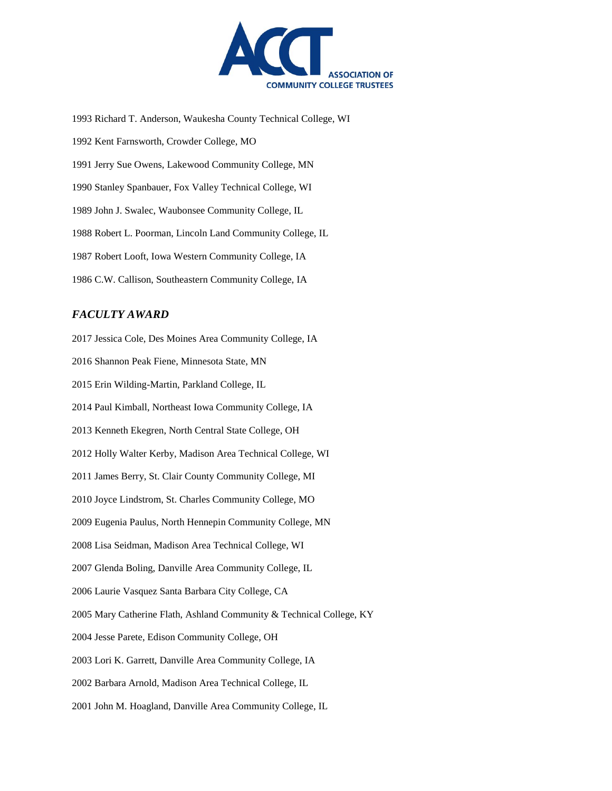

1993 Richard T. Anderson, Waukesha County Technical College, WI 1992 Kent Farnsworth, Crowder College, MO 1991 Jerry Sue Owens, Lakewood Community College, MN 1990 Stanley Spanbauer, Fox Valley Technical College, WI 1989 John J. Swalec, Waubonsee Community College, IL 1988 Robert L. Poorman, Lincoln Land Community College, IL 1987 Robert Looft, Iowa Western Community College, IA 1986 C.W. Callison, Southeastern Community College, IA

### *FACULTY AWARD*

2017 Jessica Cole, Des Moines Area Community College, IA 2016 Shannon Peak Fiene, Minnesota State, MN 2015 Erin Wilding-Martin, Parkland College, IL 2014 Paul Kimball, Northeast Iowa Community College, IA 2013 Kenneth Ekegren, North Central State College, OH 2012 Holly Walter Kerby, Madison Area Technical College, WI 2011 James Berry, St. Clair County Community College, MI 2010 Joyce Lindstrom, St. Charles Community College, MO 2009 Eugenia Paulus, North Hennepin Community College, MN 2008 Lisa Seidman, Madison Area Technical College, WI 2007 Glenda Boling, Danville Area Community College, IL 2006 Laurie Vasquez Santa Barbara City College, CA 2005 Mary Catherine Flath, Ashland Community & Technical College, KY 2004 Jesse Parete, Edison Community College, OH 2003 Lori K. Garrett, Danville Area Community College, IA 2002 Barbara Arnold, Madison Area Technical College, IL

2001 John M. Hoagland, Danville Area Community College, IL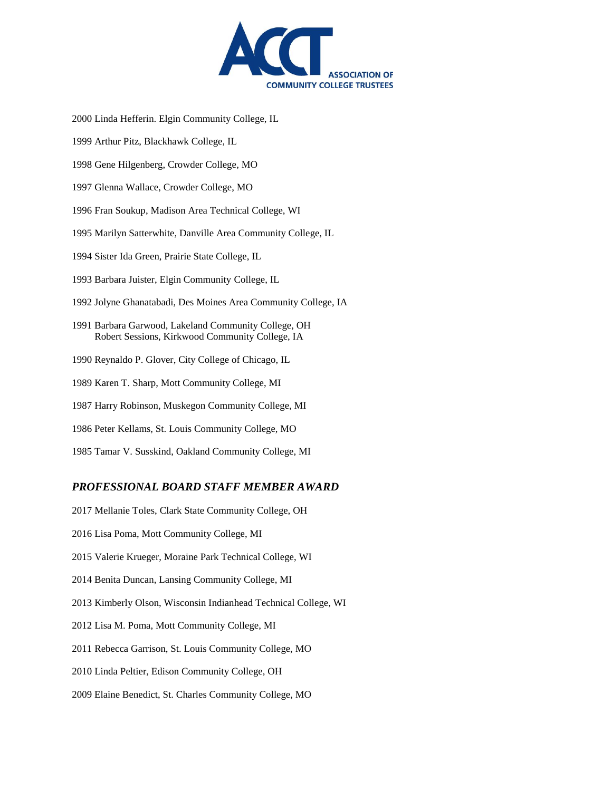

2000 Linda Hefferin. Elgin Community College, IL

- 1999 Arthur Pitz, Blackhawk College, IL
- 1998 Gene Hilgenberg, Crowder College, MO
- 1997 Glenna Wallace, Crowder College, MO
- 1996 Fran Soukup, Madison Area Technical College, WI
- 1995 Marilyn Satterwhite, Danville Area Community College, IL
- 1994 Sister Ida Green, Prairie State College, IL
- 1993 Barbara Juister, Elgin Community College, IL
- 1992 Jolyne Ghanatabadi, Des Moines Area Community College, IA
- 1991 Barbara Garwood, Lakeland Community College, OH Robert Sessions, Kirkwood Community College, IA
- 1990 Reynaldo P. Glover, City College of Chicago, IL
- 1989 Karen T. Sharp, Mott Community College, MI
- 1987 Harry Robinson, Muskegon Community College, MI
- 1986 Peter Kellams, St. Louis Community College, MO
- 1985 Tamar V. Susskind, Oakland Community College, MI

#### *PROFESSIONAL BOARD STAFF MEMBER AWARD*

- 2017 Mellanie Toles, Clark State Community College, OH
- 2016 Lisa Poma, Mott Community College, MI
- 2015 Valerie Krueger, Moraine Park Technical College, WI
- 2014 Benita Duncan, Lansing Community College, MI
- 2013 Kimberly Olson, Wisconsin Indianhead Technical College, WI
- 2012 Lisa M. Poma, Mott Community College, MI
- 2011 Rebecca Garrison, St. Louis Community College, MO
- 2010 Linda Peltier, Edison Community College, OH
- 2009 Elaine Benedict, St. Charles Community College, MO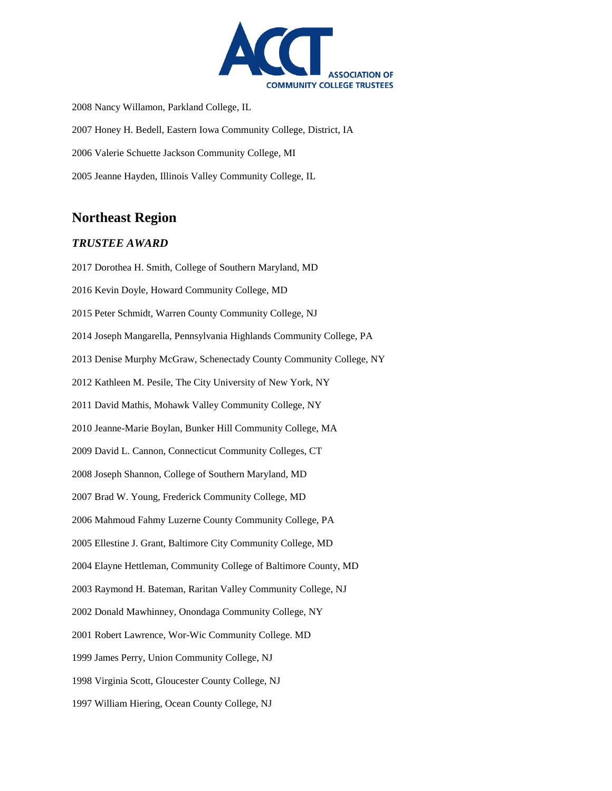

2008 Nancy Willamon, Parkland College, IL 2007 Honey H. Bedell, Eastern Iowa Community College, District, IA 2006 Valerie Schuette Jackson Community College, MI 2005 Jeanne Hayden, Illinois Valley Community College, IL

# **Northeast Region**

#### *TRUSTEE AWARD*

2017 Dorothea H. Smith, College of Southern Maryland, MD 2016 Kevin Doyle, Howard Community College, MD 2015 Peter Schmidt, Warren County Community College, NJ 2014 Joseph Mangarella, Pennsylvania Highlands Community College, PA 2013 Denise Murphy McGraw, Schenectady County Community College, NY 2012 Kathleen M. Pesile, The City University of New York, NY 2011 David Mathis, Mohawk Valley Community College, NY 2010 Jeanne-Marie Boylan, Bunker Hill Community College, MA 2009 David L. Cannon, Connecticut Community Colleges, CT 2008 Joseph Shannon, College of Southern Maryland, MD 2007 Brad W. Young, Frederick Community College, MD 2006 Mahmoud Fahmy Luzerne County Community College, PA 2005 Ellestine J. Grant, Baltimore City Community College, MD 2004 Elayne Hettleman, Community College of Baltimore County, MD 2003 Raymond H. Bateman, Raritan Valley Community College, NJ 2002 Donald Mawhinney, Onondaga Community College, NY 2001 Robert Lawrence, Wor-Wic Community College. MD 1999 James Perry, Union Community College, NJ 1998 Virginia Scott, Gloucester County College, NJ 1997 William Hiering, Ocean County College, NJ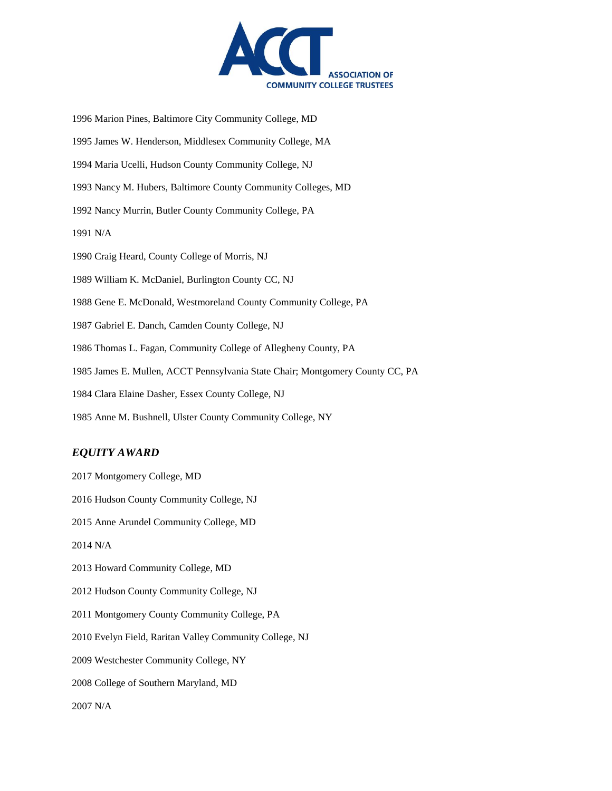

1996 Marion Pines, Baltimore City Community College, MD 1995 James W. Henderson, Middlesex Community College, MA 1994 Maria Ucelli, Hudson County Community College, NJ 1993 Nancy M. Hubers, Baltimore County Community Colleges, MD 1992 Nancy Murrin, Butler County Community College, PA 1991 N/A 1990 Craig Heard, County College of Morris, NJ 1989 William K. McDaniel, Burlington County CC, NJ 1988 Gene E. McDonald, Westmoreland County Community College, PA 1987 Gabriel E. Danch, Camden County College, NJ 1986 Thomas L. Fagan, Community College of Allegheny County, PA 1985 James E. Mullen, ACCT Pennsylvania State Chair; Montgomery County CC, PA 1984 Clara Elaine Dasher, Essex County College, NJ 1985 Anne M. Bushnell, Ulster County Community College, NY

#### *EQUITY AWARD*

2017 Montgomery College, MD 2016 Hudson County Community College, NJ 2015 Anne Arundel Community College, MD 2014 N/A 2013 Howard Community College, MD 2012 Hudson County Community College, NJ 2011 Montgomery County Community College, PA 2010 Evelyn Field, Raritan Valley Community College, NJ 2009 Westchester Community College, NY 2008 College of Southern Maryland, MD 2007 N/A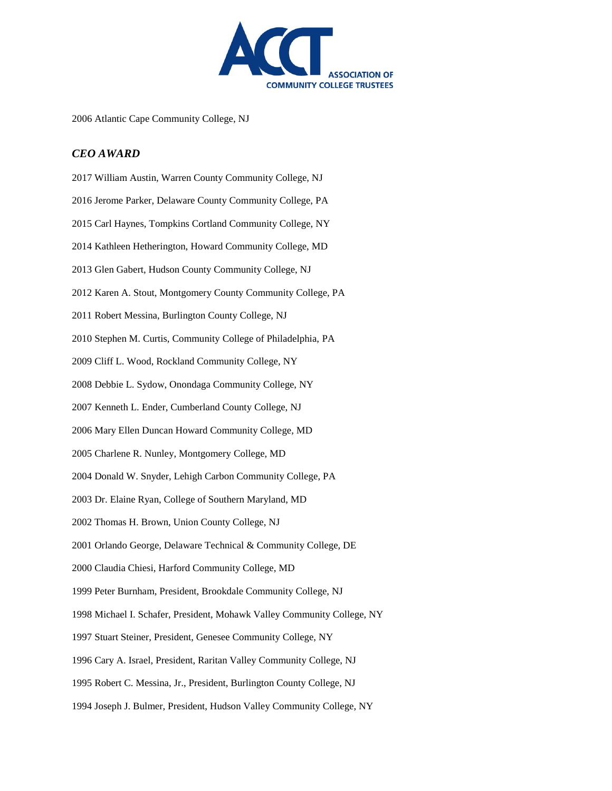

2006 Atlantic Cape Community College, NJ

# *CEO AWARD*

| 2017 William Austin, Warren County Community College, NJ                |
|-------------------------------------------------------------------------|
| 2016 Jerome Parker, Delaware County Community College, PA               |
| 2015 Carl Haynes, Tompkins Cortland Community College, NY               |
| 2014 Kathleen Hetherington, Howard Community College, MD                |
| 2013 Glen Gabert, Hudson County Community College, NJ                   |
| 2012 Karen A. Stout, Montgomery County Community College, PA            |
| 2011 Robert Messina, Burlington County College, NJ                      |
| 2010 Stephen M. Curtis, Community College of Philadelphia, PA           |
| 2009 Cliff L. Wood, Rockland Community College, NY                      |
| 2008 Debbie L. Sydow, Onondaga Community College, NY                    |
| 2007 Kenneth L. Ender, Cumberland County College, NJ                    |
| 2006 Mary Ellen Duncan Howard Community College, MD                     |
| 2005 Charlene R. Nunley, Montgomery College, MD                         |
| 2004 Donald W. Snyder, Lehigh Carbon Community College, PA              |
| 2003 Dr. Elaine Ryan, College of Southern Maryland, MD                  |
| 2002 Thomas H. Brown, Union County College, NJ                          |
| 2001 Orlando George, Delaware Technical & Community College, DE         |
| 2000 Claudia Chiesi, Harford Community College, MD                      |
| 1999 Peter Burnham, President, Brookdale Community College, NJ          |
| 1998 Michael I. Schafer, President, Mohawk Valley Community College, NY |
| 1997 Stuart Steiner, President, Genesee Community College, NY           |
| 1996 Cary A. Israel, President, Raritan Valley Community College, NJ    |
| 1995 Robert C. Messina, Jr., President, Burlington County College, NJ   |
| 1994 Joseph J. Bulmer, President, Hudson Valley Community College, NY   |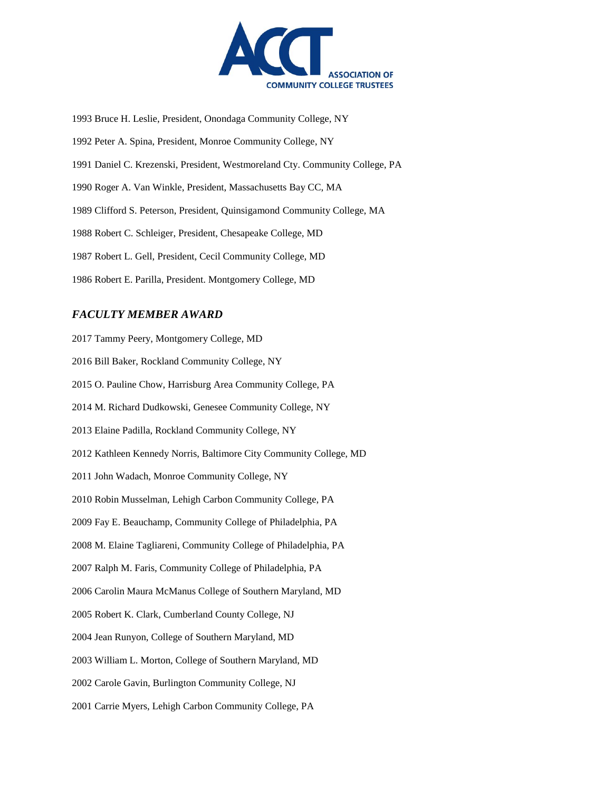

1993 Bruce H. Leslie, President, Onondaga Community College, NY 1992 Peter A. Spina, President, Monroe Community College, NY 1991 Daniel C. Krezenski, President, Westmoreland Cty. Community College, PA 1990 Roger A. Van Winkle, President, Massachusetts Bay CC, MA 1989 Clifford S. Peterson, President, Quinsigamond Community College, MA 1988 Robert C. Schleiger, President, Chesapeake College, MD 1987 Robert L. Gell, President, Cecil Community College, MD 1986 Robert E. Parilla, President. Montgomery College, MD

### *FACULTY MEMBER AWARD*

2017 Tammy Peery, Montgomery College, MD 2016 Bill Baker, Rockland Community College, NY 2015 O. Pauline Chow, Harrisburg Area Community College, PA 2014 M. Richard Dudkowski, Genesee Community College, NY 2013 Elaine Padilla, Rockland Community College, NY 2012 Kathleen Kennedy Norris, Baltimore City Community College, MD 2011 John Wadach, Monroe Community College, NY 2010 Robin Musselman, Lehigh Carbon Community College, PA 2009 Fay E. Beauchamp, Community College of Philadelphia, PA 2008 M. Elaine Tagliareni, Community College of Philadelphia, PA 2007 Ralph M. Faris, Community College of Philadelphia, PA 2006 Carolin Maura McManus College of Southern Maryland, MD 2005 Robert K. Clark, Cumberland County College, NJ 2004 Jean Runyon, College of Southern Maryland, MD 2003 William L. Morton, College of Southern Maryland, MD 2002 Carole Gavin, Burlington Community College, NJ 2001 Carrie Myers, Lehigh Carbon Community College, PA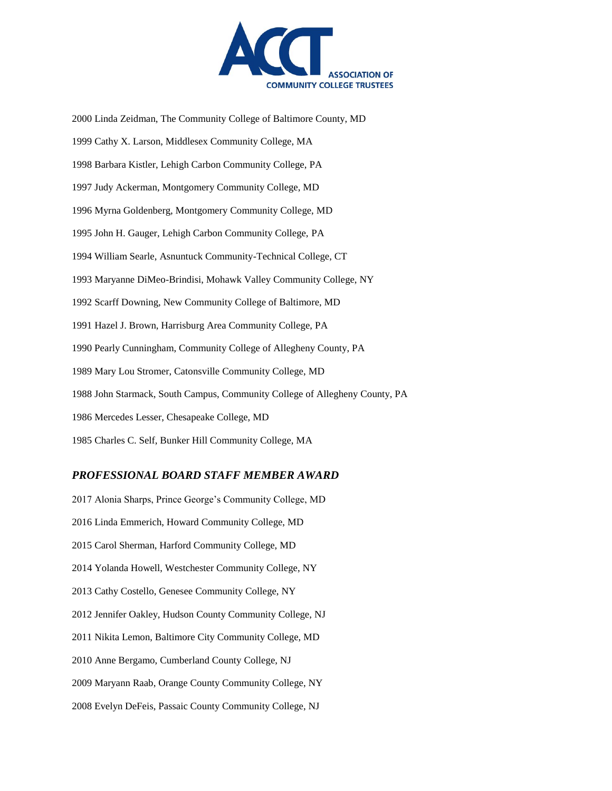

2000 Linda Zeidman, The Community College of Baltimore County, MD 1999 Cathy X. Larson, Middlesex Community College, MA 1998 Barbara Kistler, Lehigh Carbon Community College, PA 1997 Judy Ackerman, Montgomery Community College, MD 1996 Myrna Goldenberg, Montgomery Community College, MD 1995 John H. Gauger, Lehigh Carbon Community College, PA 1994 William Searle, Asnuntuck Community-Technical College, CT 1993 Maryanne DiMeo-Brindisi, Mohawk Valley Community College, NY 1992 Scarff Downing, New Community College of Baltimore, MD 1991 Hazel J. Brown, Harrisburg Area Community College, PA 1990 Pearly Cunningham, Community College of Allegheny County, PA 1989 Mary Lou Stromer, Catonsville Community College, MD 1988 John Starmack, South Campus, Community College of Allegheny County, PA 1986 Mercedes Lesser, Chesapeake College, MD 1985 Charles C. Self, Bunker Hill Community College, MA

#### *PROFESSIONAL BOARD STAFF MEMBER AWARD*

2017 Alonia Sharps, Prince George's Community College, MD 2016 Linda Emmerich, Howard Community College, MD 2015 Carol Sherman, Harford Community College, MD 2014 Yolanda Howell, Westchester Community College, NY 2013 Cathy Costello, Genesee Community College, NY 2012 Jennifer Oakley, Hudson County Community College, NJ 2011 Nikita Lemon, Baltimore City Community College, MD 2010 Anne Bergamo, Cumberland County College, NJ 2009 Maryann Raab, Orange County Community College, NY 2008 Evelyn DeFeis, Passaic County Community College, NJ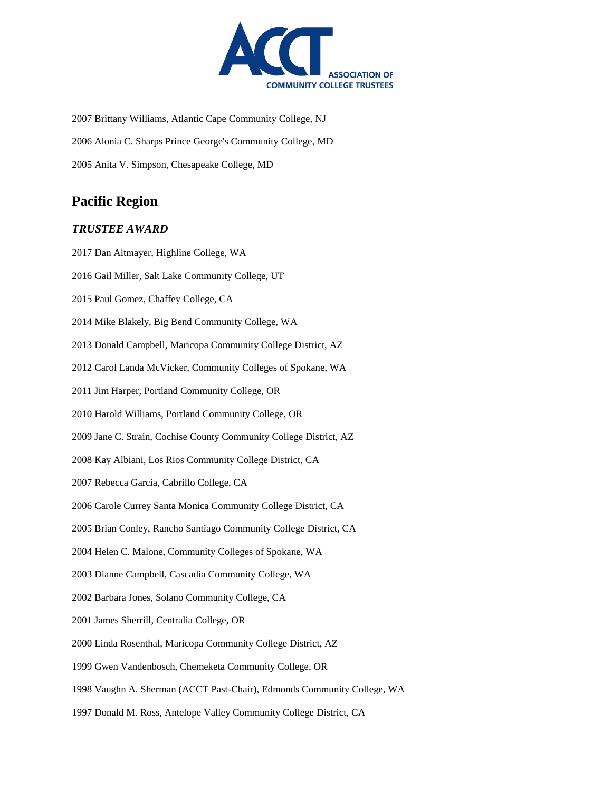

2007 Brittany Williams, Atlantic Cape Community College, NJ 2006 Alonia C. Sharps Prince George's Community College, MD 2005 Anita V. Simpson, Chesapeake College, MD

# **Pacific Region**

#### *TRUSTEE AWARD*

2017 Dan Altmayer, Highline College, WA 2016 Gail Miller, Salt Lake Community College, UT 2015 Paul Gomez, Chaffey College, CA 2014 Mike Blakely, Big Bend Community College, WA 2013 Donald Campbell, Maricopa Community College District, AZ 2012 Carol Landa McVicker, Community Colleges of Spokane, WA 2011 Jim Harper, Portland Community College, OR 2010 Harold Williams, Portland Community College, OR 2009 Jane C. Strain, Cochise County Community College District, AZ 2008 Kay Albiani, Los Rios Community College District, CA 2007 Rebecca Garcia, Cabrillo College, CA 2006 Carole Currey Santa Monica Community College District, CA 2005 Brian Conley, Rancho Santiago Community College District, CA 2004 Helen C. Malone, Community Colleges of Spokane, WA 2003 Dianne Campbell, Cascadia Community College, WA 2002 Barbara Jones, Solano Community College, CA 2001 James Sherrill, Centralia College, OR 2000 Linda Rosenthal, Maricopa Community College District, AZ 1999 Gwen Vandenbosch, Chemeketa Community College, OR 1998 Vaughn A. Sherman (ACCT Past-Chair), Edmonds Community College, WA 1997 Donald M. Ross, Antelope Valley Community College District, CA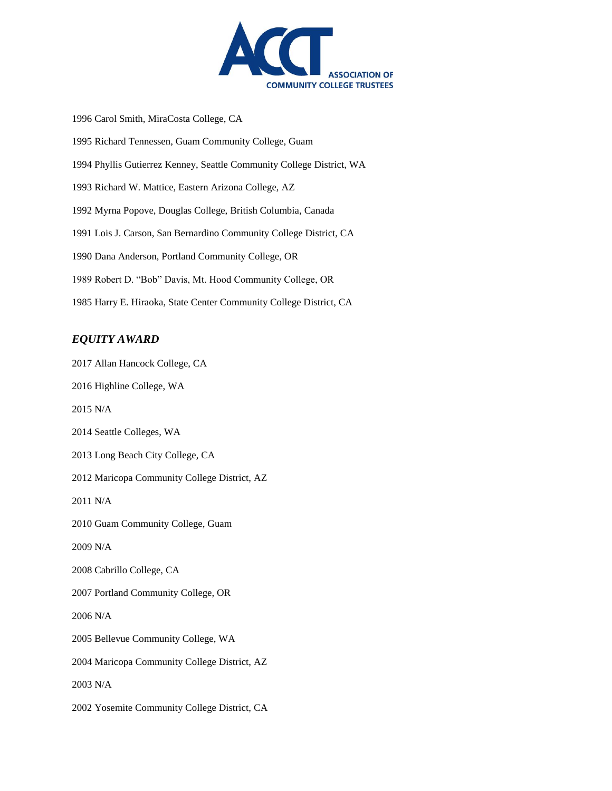

1996 Carol Smith, MiraCosta College, CA 1995 Richard Tennessen, Guam Community College, Guam 1994 Phyllis Gutierrez Kenney, Seattle Community College District, WA 1993 Richard W. Mattice, Eastern Arizona College, AZ 1992 Myrna Popove, Douglas College, British Columbia, Canada 1991 Lois J. Carson, San Bernardino Community College District, CA 1990 Dana Anderson, Portland Community College, OR 1989 Robert D. "Bob" Davis, Mt. Hood Community College, OR 1985 Harry E. Hiraoka, State Center Community College District, CA

### *EQUITY AWARD*

2017 Allan Hancock College, CA 2016 Highline College, WA 2015 N/A 2014 Seattle Colleges, WA 2013 Long Beach City College, CA 2012 Maricopa Community College District, AZ 2011 N/A 2010 Guam Community College, Guam 2009 N/A 2008 Cabrillo College, CA 2007 Portland Community College, OR 2006 N/A 2005 Bellevue Community College, WA 2004 Maricopa Community College District, AZ 2003 N/A 2002 Yosemite Community College District, CA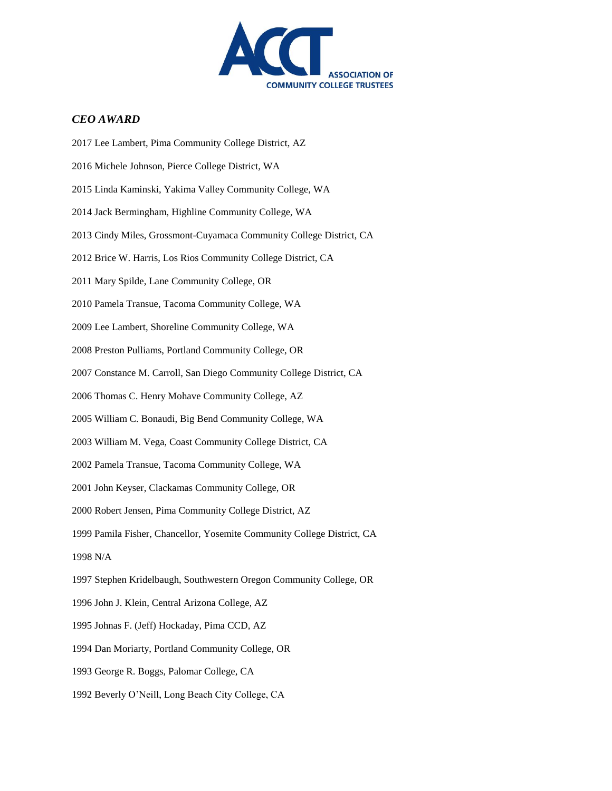

#### *CEO AWARD*

2017 Lee Lambert, Pima Community College District, AZ 2016 Michele Johnson, Pierce College District, WA 2015 Linda Kaminski, Yakima Valley Community College, WA 2014 Jack Bermingham, Highline Community College, WA 2013 Cindy Miles, Grossmont-Cuyamaca Community College District, CA 2012 Brice W. Harris, Los Rios Community College District, CA 2011 Mary Spilde, Lane Community College, OR 2010 Pamela Transue, Tacoma Community College, WA 2009 Lee Lambert, Shoreline Community College, WA 2008 Preston Pulliams, Portland Community College, OR 2007 Constance M. Carroll, San Diego Community College District, CA 2006 Thomas C. Henry Mohave Community College, AZ 2005 William C. Bonaudi, Big Bend Community College, WA 2003 William M. Vega, Coast Community College District, CA 2002 Pamela Transue, Tacoma Community College, WA 2001 John Keyser, Clackamas Community College, OR 2000 Robert Jensen, Pima Community College District, AZ 1999 Pamila Fisher, Chancellor, Yosemite Community College District, CA 1998 N/A 1997 Stephen Kridelbaugh, Southwestern Oregon Community College, OR 1996 John J. Klein, Central Arizona College, AZ 1995 Johnas F. (Jeff) Hockaday, Pima CCD, AZ 1994 Dan Moriarty, Portland Community College, OR 1993 George R. Boggs, Palomar College, CA 1992 Beverly O'Neill, Long Beach City College, CA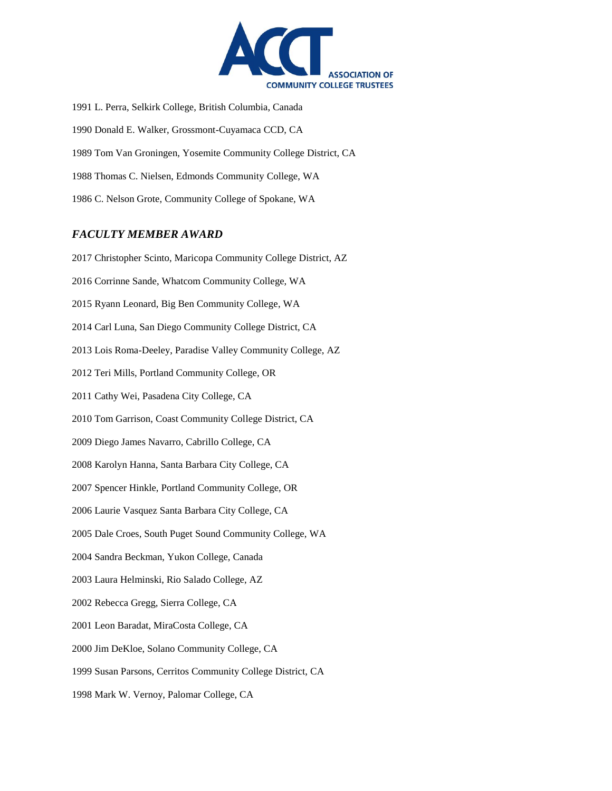

1991 L. Perra, Selkirk College, British Columbia, Canada 1990 Donald E. Walker, Grossmont-Cuyamaca CCD, CA 1989 Tom Van Groningen, Yosemite Community College District, CA 1988 Thomas C. Nielsen, Edmonds Community College, WA 1986 C. Nelson Grote, Community College of Spokane, WA

#### *FACULTY MEMBER AWARD*

2017 Christopher Scinto, Maricopa Community College District, AZ 2016 Corrinne Sande, Whatcom Community College, WA 2015 Ryann Leonard, Big Ben Community College, WA 2014 Carl Luna, San Diego Community College District, CA 2013 Lois Roma-Deeley, Paradise Valley Community College, AZ 2012 Teri Mills, Portland Community College, OR 2011 Cathy Wei, Pasadena City College, CA 2010 Tom Garrison, Coast Community College District, CA 2009 Diego James Navarro, Cabrillo College, CA 2008 Karolyn Hanna, Santa Barbara City College, CA 2007 Spencer Hinkle, Portland Community College, OR 2006 Laurie Vasquez Santa Barbara City College, CA 2005 Dale Croes, South Puget Sound Community College, WA 2004 Sandra Beckman, Yukon College, Canada 2003 Laura Helminski, Rio Salado College, AZ 2002 Rebecca Gregg, Sierra College, CA 2001 Leon Baradat, MiraCosta College, CA 2000 Jim DeKloe, Solano Community College, CA 1999 Susan Parsons, Cerritos Community College District, CA 1998 Mark W. Vernoy, Palomar College, CA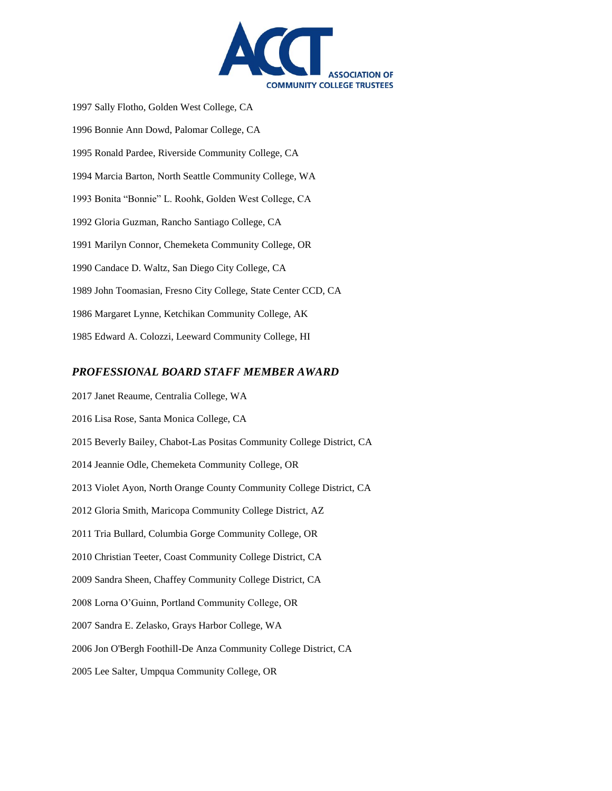

1997 Sally Flotho, Golden West College, CA 1996 Bonnie Ann Dowd, Palomar College, CA 1995 Ronald Pardee, Riverside Community College, CA 1994 Marcia Barton, North Seattle Community College, WA 1993 Bonita "Bonnie" L. Roohk, Golden West College, CA 1992 Gloria Guzman, Rancho Santiago College, CA 1991 Marilyn Connor, Chemeketa Community College, OR 1990 Candace D. Waltz, San Diego City College, CA 1989 John Toomasian, Fresno City College, State Center CCD, CA 1986 Margaret Lynne, Ketchikan Community College, AK 1985 Edward A. Colozzi, Leeward Community College, HI

#### *PROFESSIONAL BOARD STAFF MEMBER AWARD*

2017 Janet Reaume, Centralia College, WA 2016 Lisa Rose, Santa Monica College, CA 2015 Beverly Bailey, Chabot-Las Positas Community College District, CA 2014 Jeannie Odle, Chemeketa Community College, OR 2013 Violet Ayon, North Orange County Community College District, CA 2012 Gloria Smith, Maricopa Community College District, AZ 2011 Tria Bullard, Columbia Gorge Community College, OR 2010 Christian Teeter, Coast Community College District, CA 2009 Sandra Sheen, Chaffey Community College District, CA 2008 Lorna O'Guinn, Portland Community College, OR 2007 Sandra E. Zelasko, Grays Harbor College, WA 2006 Jon O'Bergh Foothill-De Anza Community College District, CA 2005 Lee Salter, Umpqua Community College, OR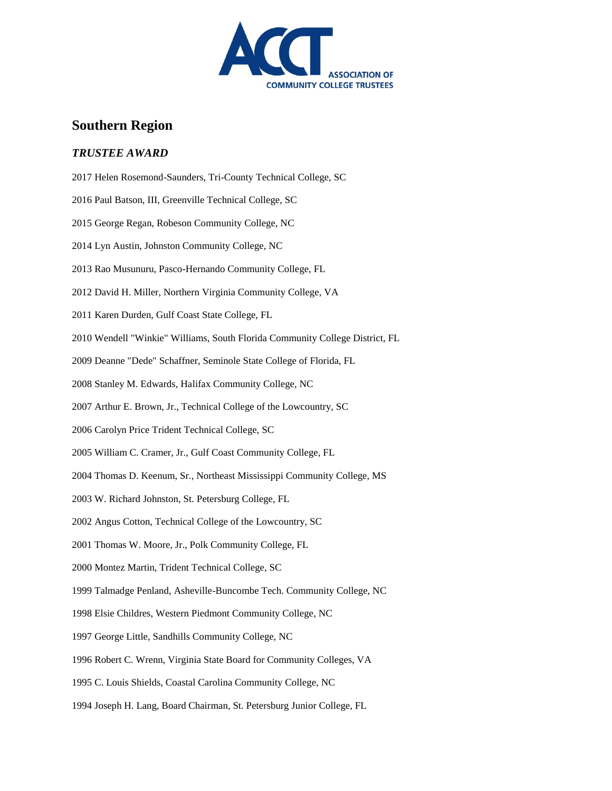

# **Southern Region**

#### *TRUSTEE AWARD*

2017 Helen Rosemond-Saunders, Tri-County Technical College, SC 2016 Paul Batson, III, Greenville Technical College, SC 2015 George Regan, Robeson Community College, NC 2014 Lyn Austin, Johnston Community College, NC 2013 Rao Musunuru, Pasco-Hernando Community College, FL 2012 David H. Miller, Northern Virginia Community College, VA 2011 Karen Durden, Gulf Coast State College, FL 2010 Wendell "Winkie" Williams, South Florida Community College District, FL 2009 Deanne "Dede" Schaffner, Seminole State College of Florida, FL 2008 Stanley M. Edwards, Halifax Community College, NC 2007 Arthur E. Brown, Jr., Technical College of the Lowcountry, SC 2006 Carolyn Price Trident Technical College, SC 2005 William C. Cramer, Jr., Gulf Coast Community College, FL 2004 Thomas D. Keenum, Sr., Northeast Mississippi Community College, MS 2003 W. Richard Johnston, St. Petersburg College, FL 2002 Angus Cotton, Technical College of the Lowcountry, SC 2001 Thomas W. Moore, Jr., Polk Community College, FL 2000 Montez Martin, Trident Technical College, SC 1999 Talmadge Penland, Asheville-Buncombe Tech. Community College, NC 1998 Elsie Childres, Western Piedmont Community College, NC 1997 George Little, Sandhills Community College, NC 1996 Robert C. Wrenn, Virginia State Board for Community Colleges, VA 1995 C. Louis Shields, Coastal Carolina Community College, NC 1994 Joseph H. Lang, Board Chairman, St. Petersburg Junior College, FL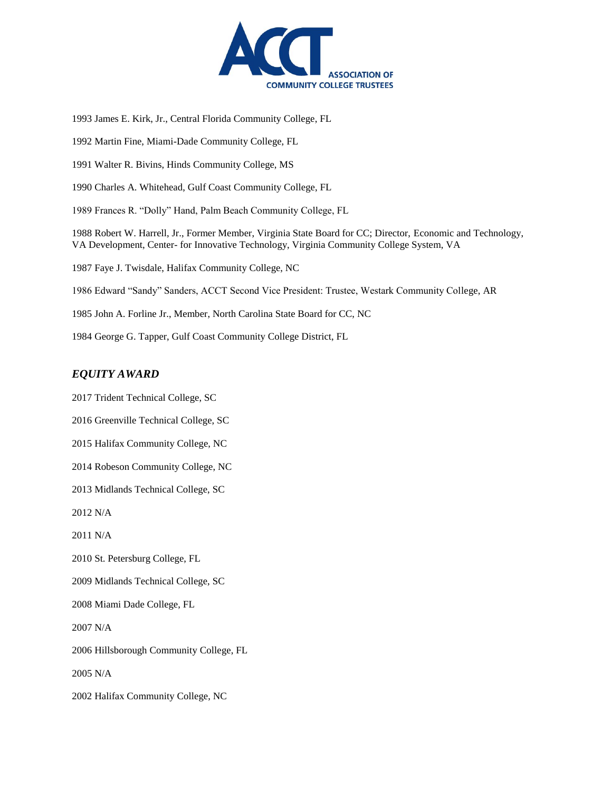

1993 James E. Kirk, Jr., Central Florida Community College, FL

1992 Martin Fine, Miami-Dade Community College, FL

1991 Walter R. Bivins, Hinds Community College, MS

1990 Charles A. Whitehead, Gulf Coast Community College, FL

1989 Frances R. "Dolly" Hand, Palm Beach Community College, FL

1988 Robert W. Harrell, Jr., Former Member, Virginia State Board for CC; Director, Economic and Technology, VA Development, Center- for Innovative Technology, Virginia Community College System, VA

1987 Faye J. Twisdale, Halifax Community College, NC

1986 Edward "Sandy" Sanders, ACCT Second Vice President: Trustee, Westark Community College, AR

1985 John A. Forline Jr., Member, North Carolina State Board for CC, NC

1984 George G. Tapper, Gulf Coast Community College District, FL

#### *EQUITY AWARD*

2017 Trident Technical College, SC

2016 Greenville Technical College, SC

2015 Halifax Community College, NC

2014 Robeson Community College, NC

2013 Midlands Technical College, SC

2012 N/A

2011 N/A

2010 St. Petersburg College, FL

2009 Midlands Technical College, SC

2008 Miami Dade College, FL

2007 N/A

2006 Hillsborough Community College, FL

2005 N/A

2002 Halifax Community College, NC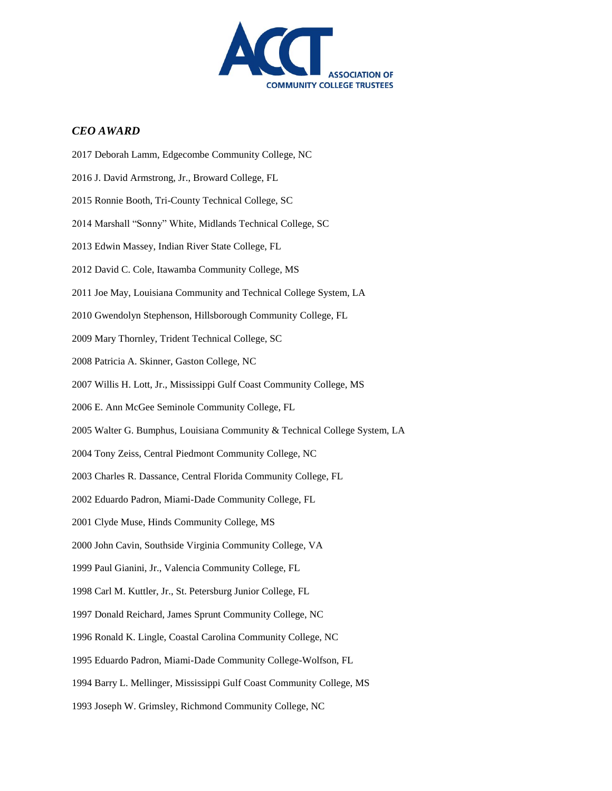

#### *CEO AWARD*

2017 Deborah Lamm, Edgecombe Community College, NC 2016 J. David Armstrong, Jr., Broward College, FL 2015 Ronnie Booth, Tri-County Technical College, SC 2014 Marshall "Sonny" White, Midlands Technical College, SC 2013 Edwin Massey, Indian River State College, FL 2012 David C. Cole, Itawamba Community College, MS 2011 Joe May, Louisiana Community and Technical College System, LA 2010 Gwendolyn Stephenson, Hillsborough Community College, FL 2009 Mary Thornley, Trident Technical College, SC 2008 Patricia A. Skinner, Gaston College, NC 2007 Willis H. Lott, Jr., Mississippi Gulf Coast Community College, MS 2006 E. Ann McGee Seminole Community College, FL 2005 Walter G. Bumphus, Louisiana Community & Technical College System, LA 2004 Tony Zeiss, Central Piedmont Community College, NC 2003 Charles R. Dassance, Central Florida Community College, FL 2002 Eduardo Padron, Miami-Dade Community College, FL 2001 Clyde Muse, Hinds Community College, MS 2000 John Cavin, Southside Virginia Community College, VA 1999 Paul Gianini, Jr., Valencia Community College, FL 1998 Carl M. Kuttler, Jr., St. Petersburg Junior College, FL 1997 Donald Reichard, James Sprunt Community College, NC 1996 Ronald K. Lingle, Coastal Carolina Community College, NC 1995 Eduardo Padron, Miami-Dade Community College-Wolfson, FL 1994 Barry L. Mellinger, Mississippi Gulf Coast Community College, MS 1993 Joseph W. Grimsley, Richmond Community College, NC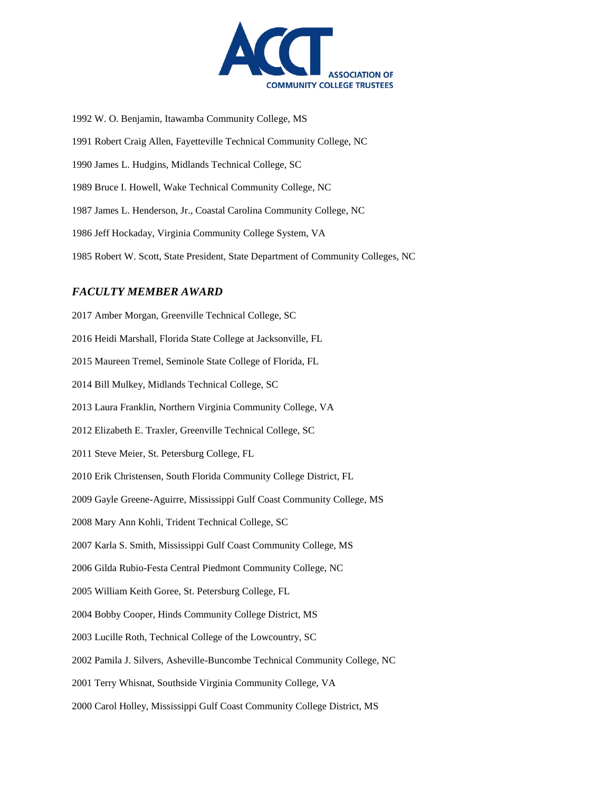

1992 W. O. Benjamin, Itawamba Community College, MS 1991 Robert Craig Allen, Fayetteville Technical Community College, NC 1990 James L. Hudgins, Midlands Technical College, SC 1989 Bruce I. Howell, Wake Technical Community College, NC 1987 James L. Henderson, Jr., Coastal Carolina Community College, NC 1986 Jeff Hockaday, Virginia Community College System, VA 1985 Robert W. Scott, State President, State Department of Community Colleges, NC

## *FACULTY MEMBER AWARD*

2017 Amber Morgan, Greenville Technical College, SC 2016 Heidi Marshall, Florida State College at Jacksonville, FL 2015 Maureen Tremel, Seminole State College of Florida, FL 2014 Bill Mulkey, Midlands Technical College, SC 2013 Laura Franklin, Northern Virginia Community College, VA 2012 Elizabeth E. Traxler, Greenville Technical College, SC 2011 Steve Meier, St. Petersburg College, FL 2010 Erik Christensen, South Florida Community College District, FL 2009 Gayle Greene-Aguirre, Mississippi Gulf Coast Community College, MS 2008 Mary Ann Kohli, Trident Technical College, SC 2007 Karla S. Smith, Mississippi Gulf Coast Community College, MS 2006 Gilda Rubio-Festa Central Piedmont Community College, NC 2005 William Keith Goree, St. Petersburg College, FL 2004 Bobby Cooper, Hinds Community College District, MS 2003 Lucille Roth, Technical College of the Lowcountry, SC 2002 Pamila J. Silvers, Asheville-Buncombe Technical Community College, NC 2001 Terry Whisnat, Southside Virginia Community College, VA 2000 Carol Holley, Mississippi Gulf Coast Community College District, MS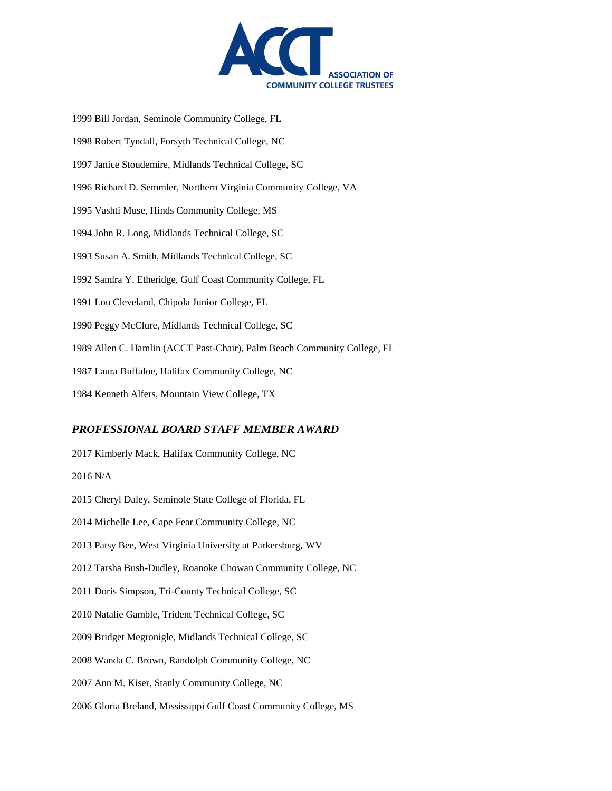

1999 Bill Jordan, Seminole Community College, FL 1998 Robert Tyndall, Forsyth Technical College, NC 1997 Janice Stoudemire, Midlands Technical College, SC 1996 Richard D. Semmler, Northern Virginia Community College, VA 1995 Vashti Muse, Hinds Community College, MS 1994 John R. Long, Midlands Technical College, SC 1993 Susan A. Smith, Midlands Technical College, SC 1992 Sandra Y. Etheridge, Gulf Coast Community College, FL 1991 Lou Cleveland, Chipola Junior College, FL 1990 Peggy McClure, Midlands Technical College, SC 1989 Allen C. Hamlin (ACCT Past-Chair), Palm Beach Community College, FL 1987 Laura Buffaloe, Halifax Community College, NC 1984 Kenneth Alfers, Mountain View College, TX

#### *PROFESSIONAL BOARD STAFF MEMBER AWARD*

2017 Kimberly Mack, Halifax Community College, NC 2016 N/A 2015 Cheryl Daley, Seminole State College of Florida, FL 2014 Michelle Lee, Cape Fear Community College, NC 2013 Patsy Bee, West Virginia University at Parkersburg, WV 2012 Tarsha Bush-Dudley, Roanoke Chowan Community College, NC 2011 Doris Simpson, Tri-County Technical College, SC 2010 Natalie Gamble, Trident Technical College, SC 2009 Bridget Megronigle, Midlands Technical College, SC 2008 Wanda C. Brown, Randolph Community College, NC 2007 Ann M. Kiser, Stanly Community College, NC 2006 Gloria Breland, Mississippi Gulf Coast Community College, MS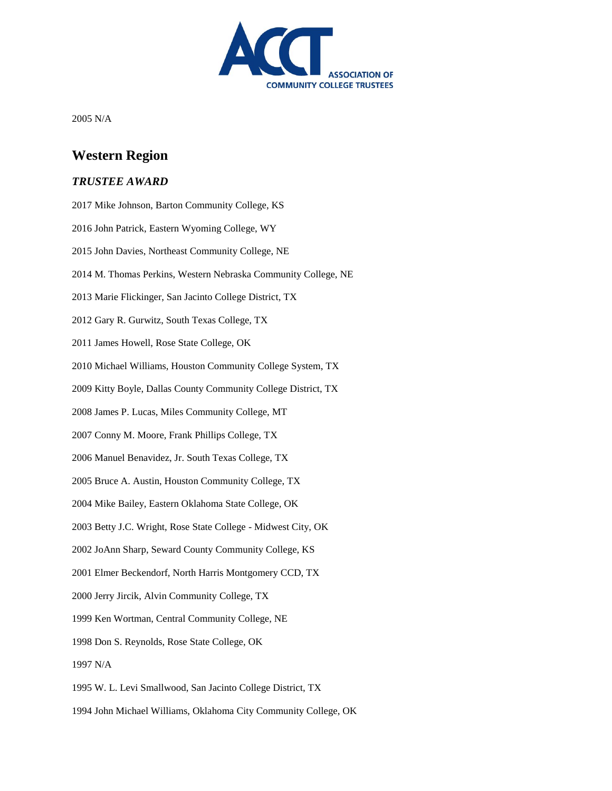

2005 N/A

# **Western Region**

#### *TRUSTEE AWARD*

2017 Mike Johnson, Barton Community College, KS 2016 John Patrick, Eastern Wyoming College, WY 2015 John Davies, Northeast Community College, NE 2014 M. Thomas Perkins, Western Nebraska Community College, NE 2013 Marie Flickinger, San Jacinto College District, TX 2012 Gary R. Gurwitz, South Texas College, TX 2011 James Howell, Rose State College, OK 2010 Michael Williams, Houston Community College System, TX 2009 Kitty Boyle, Dallas County Community College District, TX 2008 James P. Lucas, Miles Community College, MT 2007 Conny M. Moore, Frank Phillips College, TX 2006 Manuel Benavidez, Jr. South Texas College, TX 2005 Bruce A. Austin, Houston Community College, TX 2004 Mike Bailey, Eastern Oklahoma State College, OK 2003 Betty J.C. Wright, Rose State College - Midwest City, OK 2002 JoAnn Sharp, Seward County Community College, KS 2001 Elmer Beckendorf, North Harris Montgomery CCD, TX 2000 Jerry Jircik, Alvin Community College, TX 1999 Ken Wortman, Central Community College, NE 1998 Don S. Reynolds, Rose State College, OK 1997 N/A 1995 W. L. Levi Smallwood, San Jacinto College District, TX 1994 John Michael Williams, Oklahoma City Community College, OK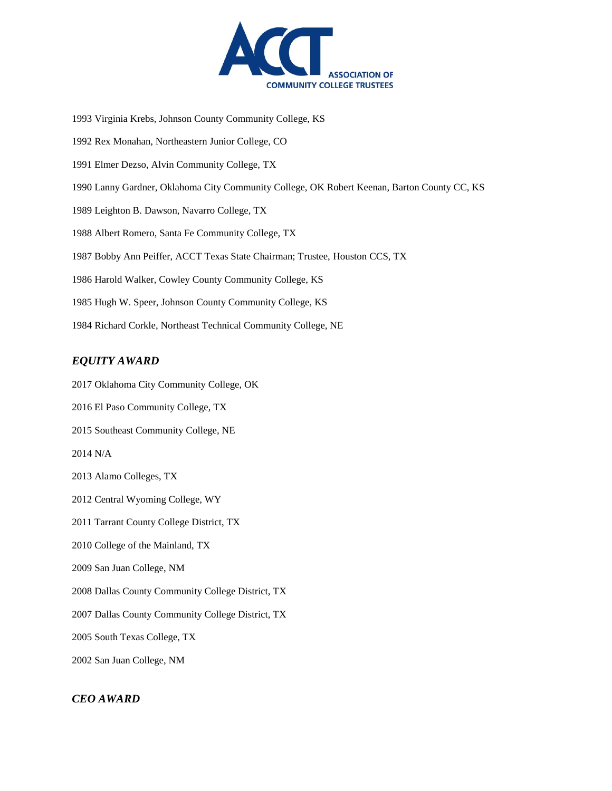

1993 Virginia Krebs, Johnson County Community College, KS

1992 Rex Monahan, Northeastern Junior College, CO

1991 Elmer Dezso, Alvin Community College, TX

1990 Lanny Gardner, Oklahoma City Community College, OK Robert Keenan, Barton County CC, KS

1989 Leighton B. Dawson, Navarro College, TX

1988 Albert Romero, Santa Fe Community College, TX

1987 Bobby Ann Peiffer, ACCT Texas State Chairman; Trustee, Houston CCS, TX

1986 Harold Walker, Cowley County Community College, KS

1985 Hugh W. Speer, Johnson County Community College, KS

1984 Richard Corkle, Northeast Technical Community College, NE

#### *EQUITY AWARD*

2017 Oklahoma City Community College, OK

2016 El Paso Community College, TX

2015 Southeast Community College, NE

2014 N/A

2013 Alamo Colleges, TX

2012 Central Wyoming College, WY

2011 Tarrant County College District, TX

2010 College of the Mainland, TX

2009 San Juan College, NM

2008 Dallas County Community College District, TX

2007 Dallas County Community College District, TX

2005 South Texas College, TX

2002 San Juan College, NM

#### *CEO AWARD*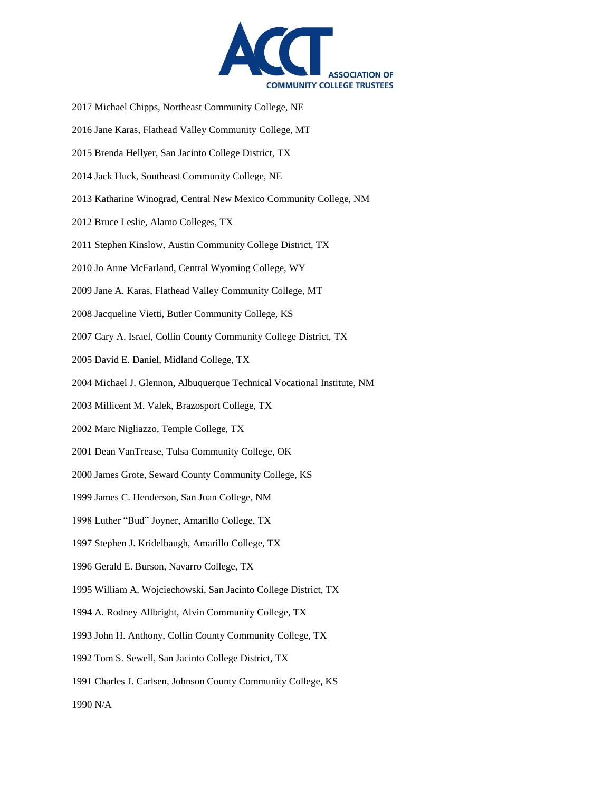

- 2017 Michael Chipps, Northeast Community College, NE
- 2016 Jane Karas, Flathead Valley Community College, MT
- 2015 Brenda Hellyer, San Jacinto College District, TX
- 2014 Jack Huck, Southeast Community College, NE
- 2013 Katharine Winograd, Central New Mexico Community College, NM
- 2012 Bruce Leslie, Alamo Colleges, TX
- 2011 Stephen Kinslow, Austin Community College District, TX
- 2010 Jo Anne McFarland, Central Wyoming College, WY
- 2009 Jane A. Karas, Flathead Valley Community College, MT
- 2008 Jacqueline Vietti, Butler Community College, KS
- 2007 Cary A. Israel, Collin County Community College District, TX
- 2005 David E. Daniel, Midland College, TX
- 2004 Michael J. Glennon, Albuquerque Technical Vocational Institute, NM
- 2003 Millicent M. Valek, Brazosport College, TX
- 2002 Marc Nigliazzo, Temple College, TX
- 2001 Dean VanTrease, Tulsa Community College, OK
- 2000 James Grote, Seward County Community College, KS
- 1999 James C. Henderson, San Juan College, NM
- 1998 Luther "Bud" Joyner, Amarillo College, TX
- 1997 Stephen J. Kridelbaugh, Amarillo College, TX
- 1996 Gerald E. Burson, Navarro College, TX
- 1995 William A. Wojciechowski, San Jacinto College District, TX
- 1994 A. Rodney Allbright, Alvin Community College, TX
- 1993 John H. Anthony, Collin County Community College, TX
- 1992 Tom S. Sewell, San Jacinto College District, TX
- 1991 Charles J. Carlsen, Johnson County Community College, KS

1990 N/A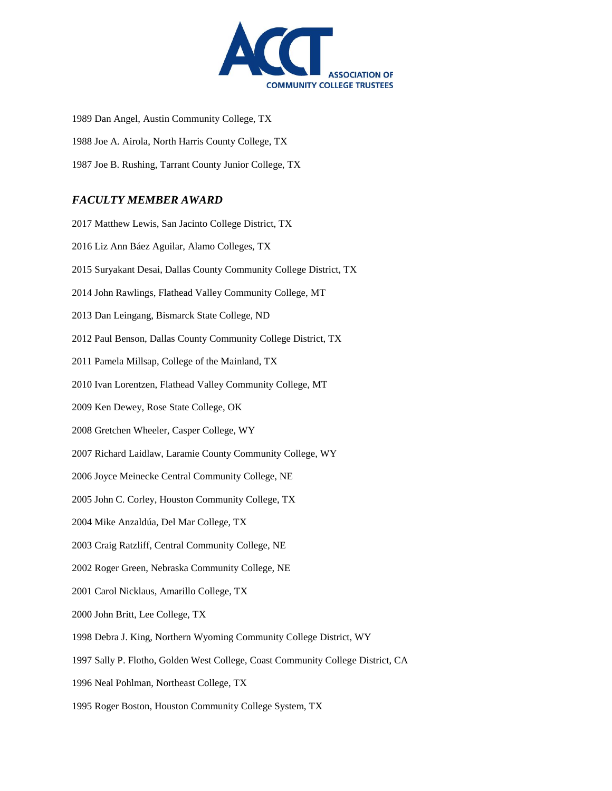

1989 Dan Angel, Austin Community College, TX 1988 Joe A. Airola, North Harris County College, TX 1987 Joe B. Rushing, Tarrant County Junior College, TX

### *FACULTY MEMBER AWARD*

2017 Matthew Lewis, San Jacinto College District, TX 2016 Liz Ann Báez Aguilar, Alamo Colleges, TX 2015 Suryakant Desai, Dallas County Community College District, TX 2014 John Rawlings, Flathead Valley Community College, MT 2013 Dan Leingang, Bismarck State College, ND 2012 Paul Benson, Dallas County Community College District, TX 2011 Pamela Millsap, College of the Mainland, TX 2010 Ivan Lorentzen, Flathead Valley Community College, MT 2009 Ken Dewey, Rose State College, OK 2008 Gretchen Wheeler, Casper College, WY 2007 Richard Laidlaw, Laramie County Community College, WY 2006 Joyce Meinecke Central Community College, NE 2005 John C. Corley, Houston Community College, TX 2004 Mike Anzaldúa, Del Mar College, TX 2003 Craig Ratzliff, Central Community College, NE 2002 Roger Green, Nebraska Community College, NE 2001 Carol Nicklaus, Amarillo College, TX 2000 John Britt, Lee College, TX 1998 Debra J. King, Northern Wyoming Community College District, WY 1997 Sally P. Flotho, Golden West College, Coast Community College District, CA 1996 Neal Pohlman, Northeast College, TX 1995 Roger Boston, Houston Community College System, TX